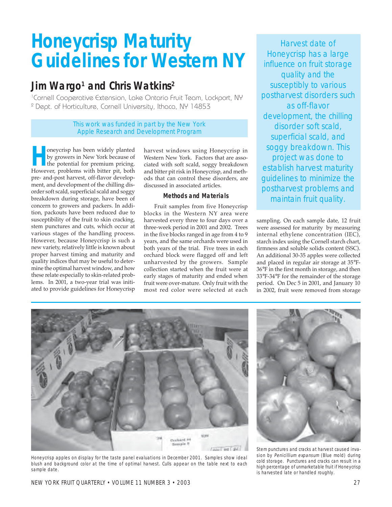# **Honeycrisp Maturity Guidelines for Western NY**

# **Jim Wargo1 and Chris Watkins2**

<sup>1</sup>Cornell Cooperative Extension, Lake Ontario Fruit Team, Lockport, NY 2 Dept. of Horticulture, Cornell University, Ithaca, NY 14853

> This work was funded in part by the New York Apple Research and Development Program

oneycrisp has been widely planted by growers in New York because of the potential for premium pricing. However, problems with bitter pit, both pre- and-post harvest, off-flavor development, and development of the chilling disorder soft scald, superficial scald and soggy breakdown during storage, have been of concern to growers and packers. In addition, packouts have been reduced due to susceptibility of the fruit to skin cracking, stem punctures and cuts, which occur at various stages of the handling process. However, because Honeycrisp is such a new variety, relatively little is known about proper harvest timing and maturity and quality indices that may be useful to determine the optimal harvest window, and how these relate especially to skin-related problems. In 2001, a two-year trial was initiated to provide guidelines for Honeycrisp

harvest windows using Honeycrisp in Western New York. Factors that are associated with soft scald, soggy breakdown and bitter pit risk in Honeycrisp, and methods that can control these disorders, are discussed in associated articles.

# **Methods and Materials**

Fruit samples from five Honeycrisp blocks in the Western NY area were harvested every three to four days over a three-week period in 2001 and 2002. Trees in the five blocks ranged in age from 4 to 9 years, and the same orchards were used in both years of the trial. Five trees in each orchard block were flagged off and left unharvested by the growers. Sample collection started when the fruit were at early stages of maturity and ended when fruit were over-mature. Only fruit with the most red color were selected at each

Harvest date of Honeycrisp has a large influence on fruit storage quality and the susceptibly to various postharvest disorders such as off-flavor development, the chilling disorder soft scald, superficial scald, and soggy breakdown. This project was done to establish harvest maturity guidelines to minimize the postharvest problems and maintain fruit quality.

sampling. On each sample date, 12 fruit were assessed for maturity by measuring internal ethylene concentration (IEC), starch index using the Cornell starch chart, firmness and soluble solids content (SSC). An additional 30-35 apples were collected and placed in regular air storage at 35°F-36°F in the first month in storage, and then 33°F-34°F for the remainder of the storage period. On Dec 5 in 2001, and January 10 in 2002, fruit were removed from storage



Honeycrisp apples on display for the taste panel evaluations in December 2001. Samples show ideal blush and background color at the time of optimal harvest. Culls appear on the table next to each sample date.



Stem punctures and cracks at harvest caused invasion by Penicillium expansum (Blue mold) during cold storage. Punctures and cracks can result in a high percentage of unmarketable fruit if Honeycrisp is harvested late or handled roughly.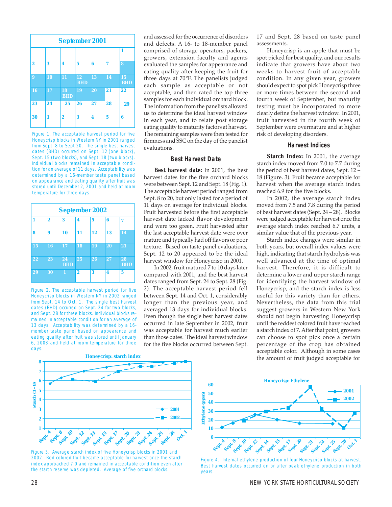

Figure 1. The acceptable harvest period for five Honeycrisp blocks in Western NY in 2001 ranged from Sept. 8 to Sept 20. The single best harvest dates (BHD) occurred on Sept. 12 (one block), Sept. 15 (two blocks), and Sept. 18 (two blocks). Individual blocks remained in acceptable condition for an average of 11 days. Acceptability was determined by a 16-member taste panel based on appearance and eating quality after fruit was stored until December 2, 2001 and held at room temperature for three days.

| <b>September 2002</b> |                |                  |                |    |    |                  |
|-----------------------|----------------|------------------|----------------|----|----|------------------|
|                       | $\overline{2}$ | 3                | 4              | 5  | 6  | 7                |
| 8                     | 9              | 10               | 11             | 12 | 13 | 14               |
| 15                    | 16             | 17               | 18             | 19 | 20 | 21               |
| 22                    | 23             | 24<br><b>BHD</b> | 25             | 26 | 27 | 28<br><b>BHD</b> |
| 29                    | 30             | 1                | $\overline{2}$ | 3  | 4  | 5                |

Figure 2. The acceptable harvest period for five Honeycrisp blocks in Western NY in 2002 ranged from Sept. 14 to Oct. 1. The single best harvest dates (BHD) occurred on Sept. 24 for two blocks, and Sept. 28 for three blocks. Individual blocks remained in acceptable condition for an average of 13 days. Acceptability was determined by a 16 member taste panel based on appearance and eating quality after fruit was stored until January 6, 2003 and held at room temperature for three days.

and assessed for the occurrence of disorders and defects. A 16- to 18-member panel comprised of storage operators, packers, growers, extension faculty and agents evaluated the samples for appearance and eating quality after keeping the fruit for three days at 70°F. The panelists judged each sample as acceptable or not acceptable, and then rated the top three samples for each individual orchard block. The information from the panelists allowed us to determine the ideal harvest window in each year, and to relate post storage eating quality to maturity factors at harvest. The remaining samples were then tested for firmness and SSC on the day of the panelist evaluations.

# **Best Harvest Date**

**Best harvest date:** In 2001, the best harvest dates for the five orchard blocks were between Sept. 12 and Sept. 18 (Fig. 1). The acceptable harvest period ranged from Sept. 8 to 20, but only lasted for a period of 11 days on average for individual blocks. Fruit harvested before the first acceptable harvest date lacked flavor development and were too green. Fruit harvested after the last acceptable harvest date were over mature and typically had off flavors or poor texture. Based on taste panel evaluations, Sept. 12 to 20 appeared to be the ideal harvest window for Honeycrisp in 2001.

In 2002, fruit matured 7 to 10 days later compared with 2001, and the best harvest dates ranged from Sept. 24 to Sept. 28 (Fig. 2). The acceptable harvest period fell between Sept. 14 and Oct. 1, considerably longer than the previous year, and averaged 13 days for individual blocks. Even though the single best harvest dates occurred in late September in 2002, fruit was acceptable for harvest much earlier than those dates. The ideal harvest window for the five blocks occurred between Sept. 17 and Sept. 28 based on taste panel assessments.

Honeycrisp is an apple that must be spot picked for best quality, and our results indicate that growers have about two weeks to harvest fruit of acceptable condition. In any given year, growers should expect to spot pick Honeycrisp three or more times between the second and fourth week of September, but maturity testing must be incorporated to more clearly define the harvest window. In 2001, fruit harvested in the fourth week of September were overmature and at higher risk of developing disorders.

#### **Harvest Indices**

**Starch Index:** In 2001, the average starch index moved from 7.0 to 7.7 during the period of best harvest dates, Sept.  $12$  – 18 (Figure. 3). Fruit became acceptable for harvest when the average starch index reached 6.9 for the five blocks.

In 2002, the average starch index moved from 7.5 and 7.8 during the period of best harvest dates (Sept.  $24 - 28$ ). Blocks were judged acceptable for harvest once the average starch index reached 6.7 units, a similar value that of the previous year.

Starch index changes were similar in both years, but overall index values were high, indicating that starch hydrolysis was well advanced at the time of optimal harvest. Therefore, it is difficult to determine a lower and upper starch range for identifying the harvest window of Honeycrisp, and the starch index is less useful for this variety than for others. Nevertheless, the data from this trial suggest growers in Western New York should not begin harvesting Honeycrisp until the reddest colored fruit have reached a starch index of 7. After that point, growers can choose to spot pick once a certain percentage of the crop has obtained acceptable color. Although in some cases the amount of fruit judged acceptable for



Figure 3. Average starch index of five Honeycrisp blocks in 2001 and 2002. Red colored fruit became acceptable for harvest once the starch index approached 7.0 and remained in acceptable condition even after the starch reserve was depleted. Average of five orchard blocks.



Figure 4. Internal ethylene production of four Honeycrisp blocks at harvest. Best harvest dates occurred on or after peak ethylene production in both years.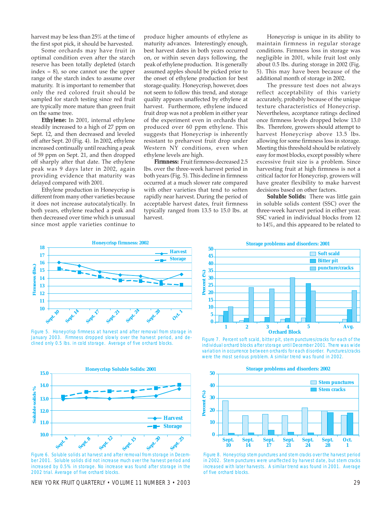harvest may be less than 25% at the time of the first spot pick, it should be harvested.

Some orchards may have fruit in optimal condition even after the starch reserve has been totally depleted (starch index  $= 8$ ), so one cannot use the upper range of the starch index to assume over maturity. It is important to remember that only the red colored fruit should be sampled for starch testing since red fruit are typically more mature than green fruit on the same tree.

**Ethylene:** In 2001, internal ethylene steadily increased to a high of 27 ppm on Sept. 12, and then decreased and leveled off after Sept. 20 (Fig. 4). In 2002, ethylene increased continually until reaching a peak of 59 ppm on Sept. 21, and then dropped off sharply after that date. The ethylene peak was 9 days later in 2002, again providing evidence that maturity was delayed compared with 2001.

Ethylene production in Honeycrisp is different from many other varieties because it does not increase autocatalytically. In both years, ethylene reached a peak and then decreased over time which is unusual since most apple varieties continue to

produce higher amounts of ethylene as maturity advances. Interestingly enough, best harvest dates in both years occurred on, or within seven days following, the peak of ethylene production. It is generally assumed apples should be picked prior to the onset of ethylene production for best storage quality. Honeycrisp, however, does not seem to follow this trend, and storage quality appears unaffected by ethylene at harvest. Furthermore, ethylene induced fruit drop was not a problem in either year of the experiment even in orchards that produced over 60 ppm ethylene. This suggests that Honeycrisp is inherently resistant to preharvest fruit drop under Western NY conditions, even when ethylene levels are high.

**Firmness:** Fruit firmness decreased 2.5 lbs. over the three-week harvest period in both years (Fig. 5). This decline in firmness occurred at a much slower rate compared with other varieties that tend to soften rapidly near harvest. During the period of acceptable harvest dates, fruit firmness typically ranged from 13.5 to 15.0 lbs. at harvest.

Honeycrisp is unique in its ability to maintain firmness in regular storage conditions. Firmness loss in storage was negligible in 2001, while fruit lost only about 0.5 lbs. during storage in 2002 (Fig. 5). This may have been because of the additional month of storage in 2002.

The pressure test does not always reflect acceptability of this variety accurately, probably because of the unique texture characteristics of Honeycrisp. Nevertheless, acceptance ratings declined once firmness levels dropped below 13.0 lbs. Therefore, growers should attempt to harvest Honeycrisp above 13.5 lbs. allowing for some firmness loss in storage. Meeting this threshold should be relatively easy for most blocks, except possibly where excessive fruit size is a problem. Since harvesting fruit at high firmness is not a critical factor for Honeycrisp, growers will have greater flexibility to make harvest decisions based on other factors.

**Soluble Solids***:* There was little gain in soluble solids content (SSC) over the three-week harvest period in either year. SSC varied in individual blocks from 12 to 14%, and this appeared to be related to



Figure 5. Honeycrisp firmness at harvest and after removal from storage in January 2003. Firmness dropped slowly over the harvest period, and declined only 0.5 lbs. in cold storage. Average of five orchard blocks.



Figure 6. Soluble solids at harvest and after removal from storage in December 2001. Soluble solids did not increase much over the harvest period and increased by 0.5% in storage. No increase was found after storage in the 2002 trial. Average of five orchard blocks.

NEW YORK FRUIT QUARTERLY • VOLUME 11 NUMBER 3 • 2003 29



Figure 7. Percent soft scald, bitter pit, stem punctures/cracks for each of the individual orchard blocks after storage until December 2001. There was wide variation in occurrence between orchards for each disorder. Punctures/cracks were the most serious problem. A similar trend was found in 2002.



Figure 8. Honeycrisp stem punctures and stem cracks over the harvest period in 2002. Stem punctures were unaffected by harvest date, but stem cracks increased with later harvests. A similar trend was found in 2001. Average of five orchard blocks.